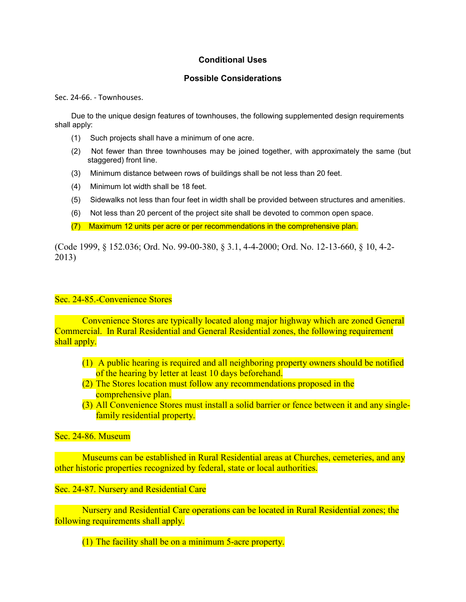## **Conditional Uses**

## **Possible Considerations**

Sec. 24-66. - Townhouses.

Due to the unique design features of townhouses, the following supplemented design requirements shall apply:

- (1) Such projects shall have a minimum of one acre.
- (2) Not fewer than three townhouses may be joined together, with approximately the same (but staggered) front line.
- (3) Minimum distance between rows of buildings shall be not less than 20 feet.
- (4) Minimum lot width shall be 18 feet.
- (5) Sidewalks not less than four feet in width shall be provided between structures and amenities.
- (6) Not less than 20 percent of the project site shall be devoted to common open space.

(7) Maximum 12 units per acre or per recommendations in the comprehensive plan.

(Code 1999, § 152.036; Ord. No. 99-00-380, § 3.1, 4-4-2000; Ord. No. 12-13-660, § 10, 4-2- 2013)

Sec. 24-85.-Convenience Stores

Convenience Stores are typically located along major highway which are zoned General Commercial. In Rural Residential and General Residential zones, the following requirement shall apply.

- (1) A public hearing is required and all neighboring property owners should be notified of the hearing by letter at least 10 days beforehand.
- (2) The Stores location must follow any recommendations proposed in the comprehensive plan.
- (3) All Convenience Stores must install a solid barrier or fence between it and any singlefamily residential property.

Sec. 24-86. Museum

Museums can be established in Rural Residential areas at Churches, cemeteries, and any other historic properties recognized by federal, state or local authorities.

Sec. 24-87. Nursery and Residential Care

Nursery and Residential Care operations can be located in Rural Residential zones; the following requirements shall apply.

(1) The facility shall be on a minimum 5-acre property.